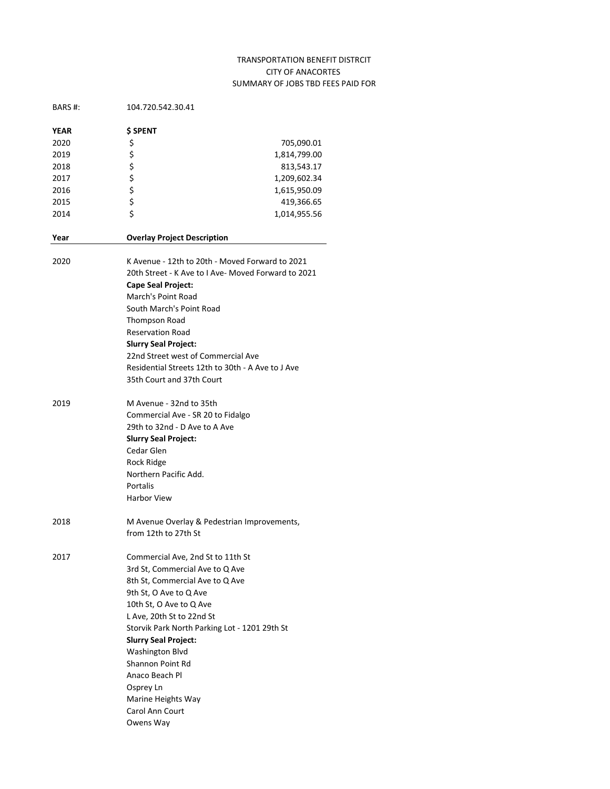## TRANSPORTATION BENEFIT DISTRCIT CITY OF ANACORTES SUMMARY OF JOBS TBD FEES PAID FOR

| BARS #: | 104.720.542.30.41                                   |              |  |
|---------|-----------------------------------------------------|--------------|--|
| YEAR    | <b>S SPENT</b>                                      |              |  |
| 2020    | \$                                                  | 705,090.01   |  |
| 2019    | \$                                                  | 1,814,799.00 |  |
| 2018    |                                                     | 813,543.17   |  |
| 2017    | ちらら                                                 | 1,209,602.34 |  |
| 2016    |                                                     | 1,615,950.09 |  |
| 2015    |                                                     | 419,366.65   |  |
| 2014    | \$                                                  | 1,014,955.56 |  |
| Year    | <b>Overlay Project Description</b>                  |              |  |
| 2020    | K Avenue - 12th to 20th - Moved Forward to 2021     |              |  |
|         | 20th Street - K Ave to I Ave- Moved Forward to 2021 |              |  |
|         | Cape Seal Project:                                  |              |  |
|         | March's Point Road                                  |              |  |
|         | South March's Point Road                            |              |  |
|         | <b>Thompson Road</b>                                |              |  |
|         | <b>Reservation Road</b>                             |              |  |
|         | <b>Slurry Seal Project:</b>                         |              |  |
|         | 22nd Street west of Commercial Ave                  |              |  |
|         | Residential Streets 12th to 30th - A Ave to J Ave   |              |  |
|         | 35th Court and 37th Court                           |              |  |
| 2019    | M Avenue - 32nd to 35th                             |              |  |
|         | Commercial Ave - SR 20 to Fidalgo                   |              |  |
|         | 29th to 32nd - D Ave to A Ave                       |              |  |
|         | <b>Slurry Seal Project:</b>                         |              |  |
|         | Cedar Glen                                          |              |  |
|         | Rock Ridge                                          |              |  |
|         | Northern Pacific Add.                               |              |  |
|         | Portalis                                            |              |  |
|         | <b>Harbor View</b>                                  |              |  |
| 2018    | M Avenue Overlay & Pedestrian Improvements,         |              |  |
|         | from 12th to 27th St                                |              |  |
|         |                                                     |              |  |
| 2017    | Commercial Ave, 2nd St to 11th St                   |              |  |
|         | 3rd St, Commercial Ave to Q Ave                     |              |  |
|         | 8th St, Commercial Ave to Q Ave                     |              |  |
|         | 9th St, O Ave to Q Ave                              |              |  |
|         | 10th St, O Ave to Q Ave                             |              |  |
|         | L Ave, 20th St to 22nd St                           |              |  |
|         | Storvik Park North Parking Lot - 1201 29th St       |              |  |
|         | <b>Slurry Seal Project:</b>                         |              |  |
|         | Washington Blvd<br>Shannon Point Rd                 |              |  |
|         | Anaco Beach Pl                                      |              |  |
|         |                                                     |              |  |
|         | Osprey Ln                                           |              |  |
|         | Marine Heights Way                                  |              |  |
|         | Carol Ann Court                                     |              |  |
|         | Owens Way                                           |              |  |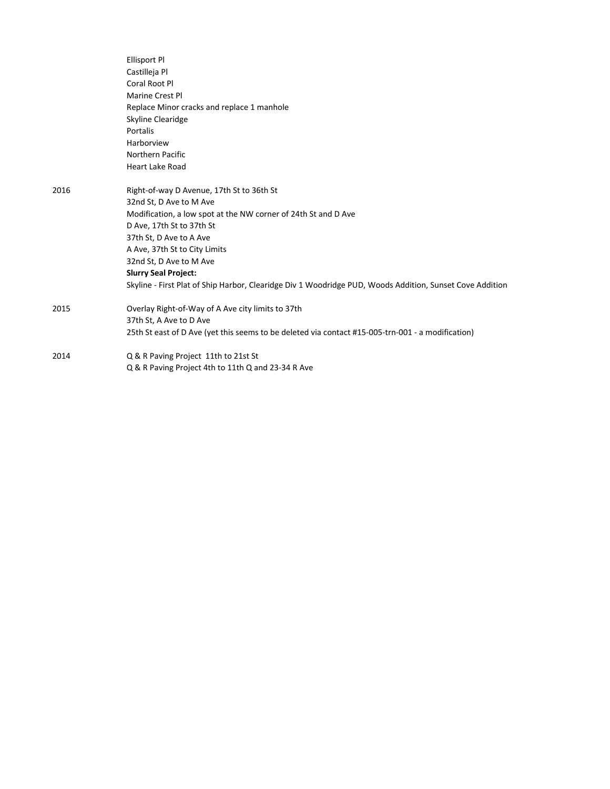|      | <b>Ellisport Pl</b>                                                                                      |
|------|----------------------------------------------------------------------------------------------------------|
|      | Castilleja Pl                                                                                            |
|      | Coral Root Pl                                                                                            |
|      | Marine Crest Pl                                                                                          |
|      | Replace Minor cracks and replace 1 manhole                                                               |
|      | Skyline Clearidge                                                                                        |
|      | Portalis                                                                                                 |
|      | Harborview                                                                                               |
|      | Northern Pacific                                                                                         |
|      | <b>Heart Lake Road</b>                                                                                   |
| 2016 | Right-of-way D Avenue, 17th St to 36th St                                                                |
|      | 32nd St, D Ave to M Ave                                                                                  |
|      | Modification, a low spot at the NW corner of 24th St and D Ave                                           |
|      | D Ave, 17th St to 37th St                                                                                |
|      | 37th St, D Ave to A Ave                                                                                  |
|      | A Ave, 37th St to City Limits                                                                            |
|      | 32nd St, D Ave to M Ave                                                                                  |
|      | <b>Slurry Seal Project:</b>                                                                              |
|      | Skyline - First Plat of Ship Harbor, Clearidge Div 1 Woodridge PUD, Woods Addition, Sunset Cove Addition |
| 2015 | Overlay Right-of-Way of A Ave city limits to 37th                                                        |
|      | 37th St, A Ave to D Ave                                                                                  |
|      | 25th St east of D Ave (yet this seems to be deleted via contact #15-005-trn-001 - a modification)        |
| 2014 | Q & R Paving Project 11th to 21st St                                                                     |
|      | Q & R Paving Project 4th to 11th Q and 23-34 R Ave                                                       |